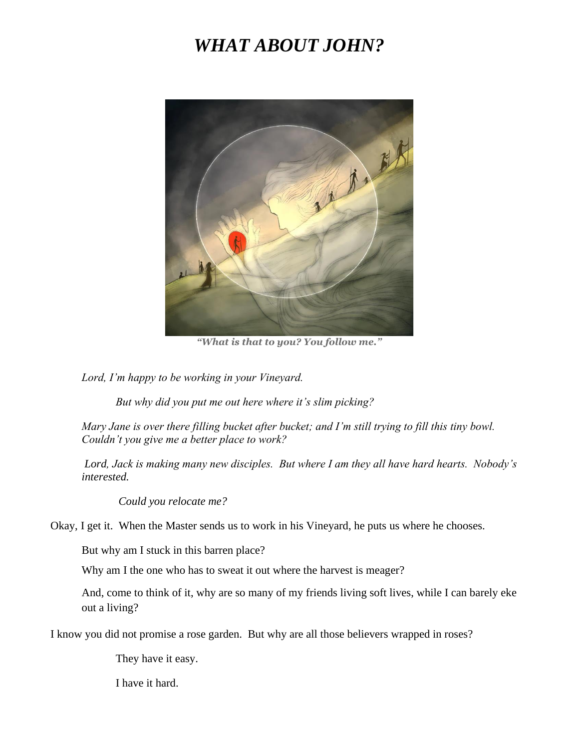## *WHAT ABOUT JOHN?*



*"What is that to you? You follow me."*

*Lord, I'm happy to be working in your Vineyard.* 

*But why did you put me out here where it's slim picking?*

*Mary Jane is over there filling bucket after bucket; and I'm still trying to fill this tiny bowl. Couldn't you give me a better place to work?* 

*Lord, Jack is making many new disciples. But where I am they all have hard hearts. Nobody's interested.* 

*Could you relocate me?*

Okay, I get it. When the Master sends us to work in his Vineyard, he puts us where he chooses.

But why am I stuck in this barren place?

Why am I the one who has to sweat it out where the harvest is meager?

And, come to think of it, why are so many of my friends living soft lives, while I can barely eke out a living?

I know you did not promise a rose garden. But why are all those believers wrapped in roses?

They have it easy.

I have it hard.